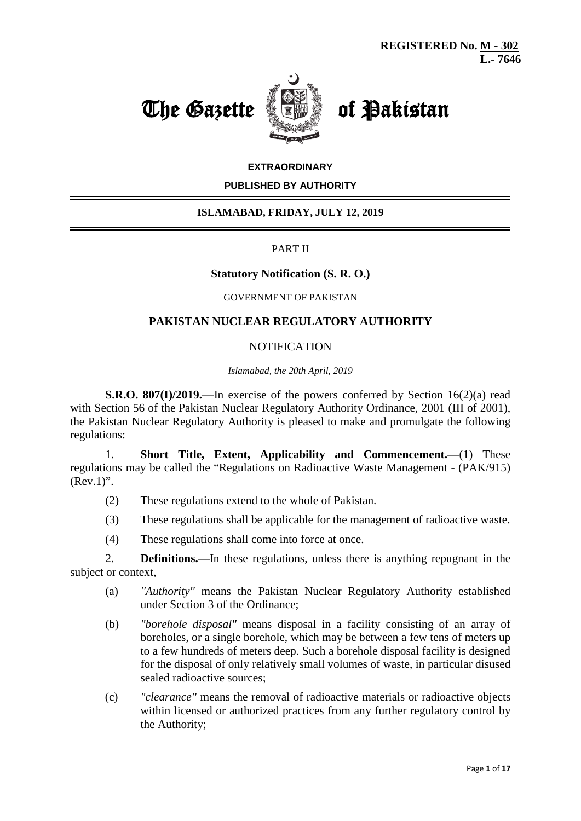



## **EXTRAORDINARY**

#### **PUBLISHED BY AUTHORITY**

## **ISLAMABAD, FRIDAY, JULY 12, 2019**

## PART II

## **Statutory Notification (S. R. O.)**

#### GOVERNMENT OF PAKISTAN

# **PAKISTAN NUCLEAR REGULATORY AUTHORITY**

#### **NOTIFICATION**

*Islamabad, the 20th April, 2019*

**S.R.O. 807(I)/2019.**—In exercise of the powers conferred by Section 16(2)(a) read with Section 56 of the Pakistan Nuclear Regulatory Authority Ordinance, 2001 (III of 2001), the Pakistan Nuclear Regulatory Authority is pleased to make and promulgate the following regulations:

1. **Short Title, Extent, Applicability and Commencement.**—(1) These regulations may be called the "Regulations on Radioactive Waste Management - (PAK/915)  $(Rev.1)$ ".

- (2) These regulations extend to the whole of Pakistan.
- (3) These regulations shall be applicable for the management of radioactive waste.
- (4) These regulations shall come into force at once.

2. **Definitions.**—In these regulations, unless there is anything repugnant in the subject or context,

- (a) *''Authority''* means the Pakistan Nuclear Regulatory Authority established under Section 3 of the Ordinance;
- (b) *"borehole disposal"* means disposal in a facility consisting of an array of boreholes, or a single borehole, which may be between a few tens of meters up to a few hundreds of meters deep. Such a borehole disposal facility is designed for the disposal of only relatively small volumes of waste, in particular disused sealed radioactive sources;
- (c) *"clearance''* means the removal of radioactive materials or radioactive objects within licensed or authorized practices from any further regulatory control by the Authority;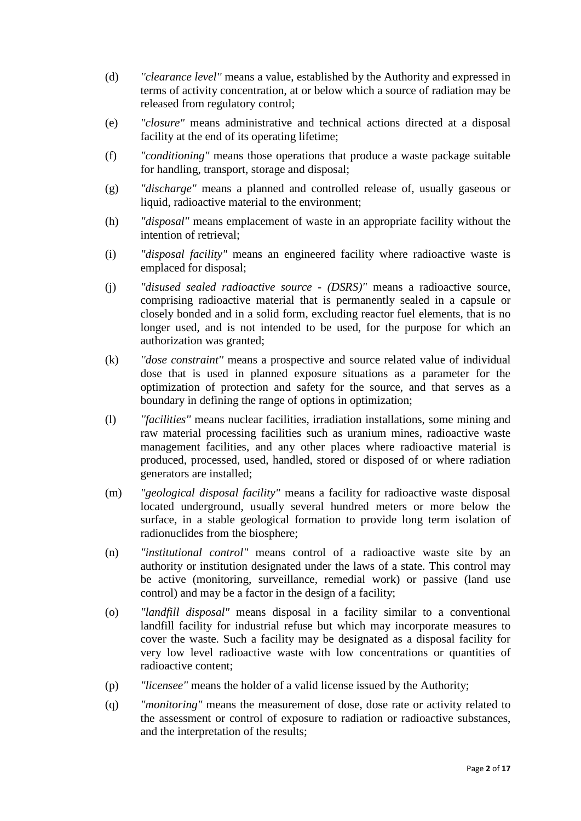- (d) *''clearance level''* means a value, established by the Authority and expressed in terms of activity concentration, at or below which a source of radiation may be released from regulatory control;
- (e) *"closure"* means administrative and technical actions directed at a disposal facility at the end of its operating lifetime;
- (f) *"conditioning"* means those operations that produce a waste package suitable for handling, transport, storage and disposal;
- (g) *"discharge"* means a planned and controlled release of, usually gaseous or liquid, radioactive material to the environment;
- (h) *"disposal"* means emplacement of waste in an appropriate facility without the intention of retrieval;
- (i) *"disposal facility"* means an engineered facility where radioactive waste is emplaced for disposal;
- (j) *"disused sealed radioactive source - (DSRS)"* means a radioactive source, comprising radioactive material that is permanently sealed in a capsule or closely bonded and in a solid form, excluding reactor fuel elements, that is no longer used, and is not intended to be used, for the purpose for which an authorization was granted;
- (k) *''dose constraint''* means a prospective and source related value of individual dose that is used in planned exposure situations as a parameter for the optimization of protection and safety for the source, and that serves as a boundary in defining the range of options in optimization;
- (l) *''facilities''* means nuclear facilities, irradiation installations, some mining and raw material processing facilities such as uranium mines, radioactive waste management facilities, and any other places where radioactive material is produced, processed, used, handled, stored or disposed of or where radiation generators are installed;
- (m) *"geological disposal facility"* means a facility for radioactive waste disposal located underground, usually several hundred meters or more below the surface, in a stable geological formation to provide long term isolation of radionuclides from the biosphere;
- (n) *"institutional control"* means control of a radioactive waste site by an authority or institution designated under the laws of a state. This control may be active (monitoring, surveillance, remedial work) or passive (land use control) and may be a factor in the design of a facility;
- (o) *"landfill disposal"* means disposal in a facility similar to a conventional landfill facility for industrial refuse but which may incorporate measures to cover the waste. Such a facility may be designated as a disposal facility for very low level radioactive waste with low concentrations or quantities of radioactive content;
- (p) *"licensee"* means the holder of a valid license issued by the Authority;
- (q) *"monitoring"* means the measurement of dose, dose rate or activity related to the assessment or control of exposure to radiation or radioactive substances, and the interpretation of the results;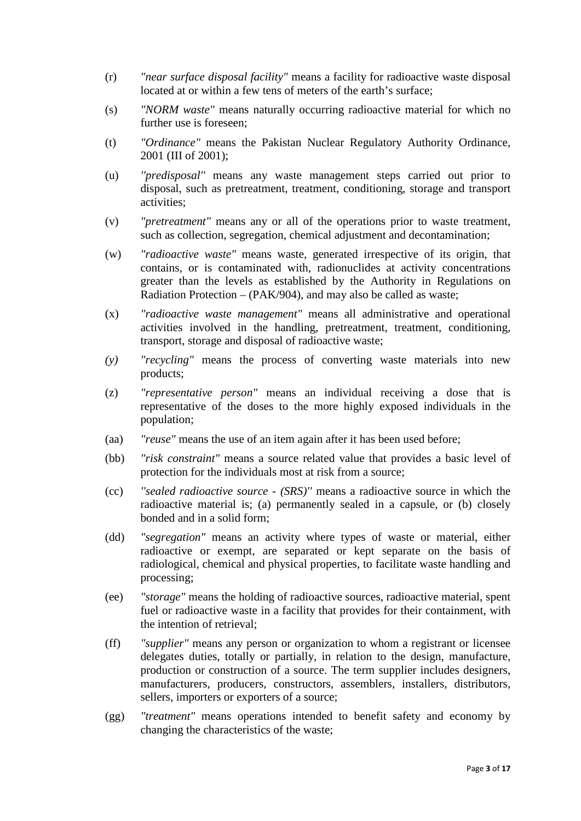- (r) *"near surface disposal facility"* means a facility for radioactive waste disposal located at or within a few tens of meters of the earth's surface;
- (s) *"NORM waste"* means naturally occurring radioactive material for which no further use is foreseen;
- (t) *"Ordinance"* means the Pakistan Nuclear Regulatory Authority Ordinance, 2001 (III of 2001);
- (u) *''predisposal''* means any waste management steps carried out prior to disposal, such as pretreatment, treatment, conditioning, storage and transport activities;
- (v) *"pretreatment"* means any or all of the operations prior to waste treatment, such as collection, segregation, chemical adjustment and decontamination;
- (w) *"radioactive waste"* means waste, generated irrespective of its origin, that contains, or is contaminated with, radionuclides at activity concentrations greater than the levels as established by the Authority in Regulations on Radiation Protection – (PAK/904), and may also be called as waste;
- (x) *"radioactive waste management"* means all administrative and operational activities involved in the handling, pretreatment, treatment, conditioning, transport, storage and disposal of radioactive waste;
- *(y) "recycling"* means the process of converting waste materials into new products;
- (z) *"representative person"* means an individual receiving a dose that is representative of the doses to the more highly exposed individuals in the population;
- (aa) *"reuse"* means the use of an item again after it has been used before;
- (bb) *"risk constraint"* means a source related value that provides a basic level of protection for the individuals most at risk from a source;
- (cc) *''sealed radioactive source - (SRS)''* means a radioactive source in which the radioactive material is; (a) permanently sealed in a capsule, or (b) closely bonded and in a solid form;
- (dd) *"segregation"* means an activity where types of waste or material, either radioactive or exempt, are separated or kept separate on the basis of radiological, chemical and physical properties, to facilitate waste handling and processing;
- (ee) *"storage"* means the holding of radioactive sources, radioactive material, spent fuel or radioactive waste in a facility that provides for their containment, with the intention of retrieval;
- (ff) *"supplier"* means any person or organization to whom a registrant or licensee delegates duties, totally or partially, in relation to the design, manufacture, production or construction of a source. The term supplier includes designers, manufacturers, producers, constructors, assemblers, installers, distributors, sellers, importers or exporters of a source;
- (gg) *"treatment"* means operations intended to benefit safety and economy by changing the characteristics of the waste;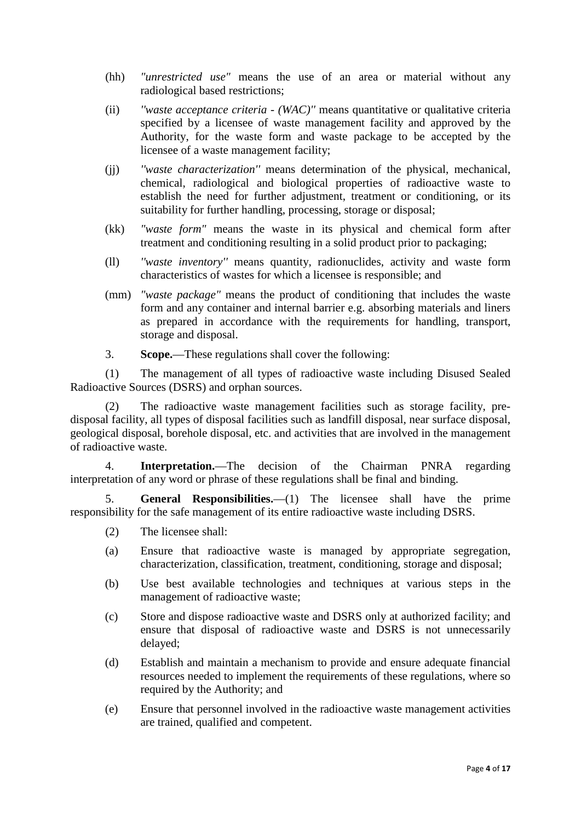- (hh) *"unrestricted use"* means the use of an area or material without any radiological based restrictions;
- (ii) *''waste acceptance criteria - (WAC)''* means quantitative or qualitative criteria specified by a licensee of waste management facility and approved by the Authority, for the waste form and waste package to be accepted by the licensee of a waste management facility;
- (jj) *''waste characterization''* means determination of the physical, mechanical, chemical, radiological and biological properties of radioactive waste to establish the need for further adjustment, treatment or conditioning, or its suitability for further handling, processing, storage or disposal;
- (kk) *"waste form"* means the waste in its physical and chemical form after treatment and conditioning resulting in a solid product prior to packaging;
- (ll) *''waste inventory''* means quantity, radionuclides, activity and waste form characteristics of wastes for which a licensee is responsible; and
- (mm) *"waste package"* means the product of conditioning that includes the waste form and any container and internal barrier e.g. absorbing materials and liners as prepared in accordance with the requirements for handling, transport, storage and disposal.
- 3. **Scope.**—These regulations shall cover the following:

(1) The management of all types of radioactive waste including Disused Sealed Radioactive Sources (DSRS) and orphan sources.

(2) The radioactive waste management facilities such as storage facility, predisposal facility, all types of disposal facilities such as landfill disposal, near surface disposal, geological disposal, borehole disposal, etc. and activities that are involved in the management of radioactive waste.

4. **Interpretation.**—The decision of the Chairman PNRA regarding interpretation of any word or phrase of these regulations shall be final and binding.

5. **General Responsibilities.**—(1) The licensee shall have the prime responsibility for the safe management of its entire radioactive waste including DSRS.

- (2) The licensee shall:
- (a) Ensure that radioactive waste is managed by appropriate segregation, characterization, classification, treatment, conditioning, storage and disposal;
- (b) Use best available technologies and techniques at various steps in the management of radioactive waste;
- (c) Store and dispose radioactive waste and DSRS only at authorized facility; and ensure that disposal of radioactive waste and DSRS is not unnecessarily delayed;
- (d) Establish and maintain a mechanism to provide and ensure adequate financial resources needed to implement the requirements of these regulations, where so required by the Authority; and
- (e) Ensure that personnel involved in the radioactive waste management activities are trained, qualified and competent.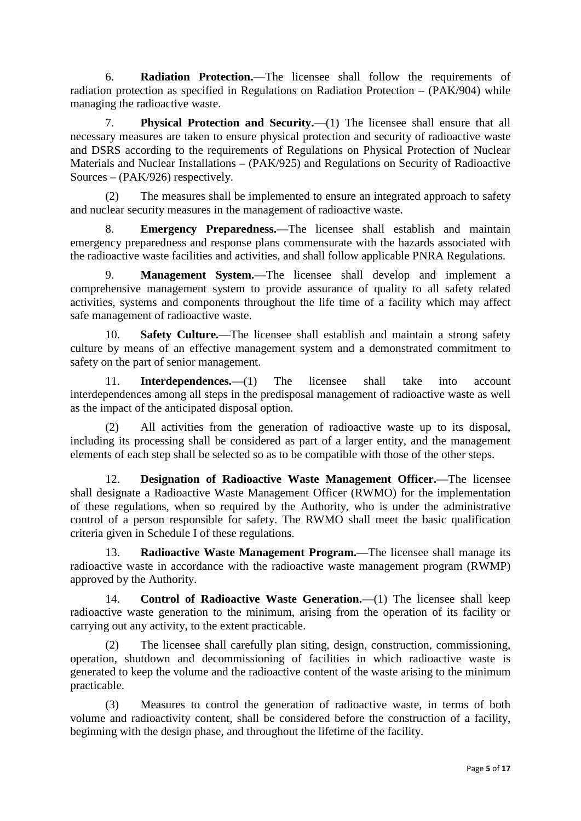6. **Radiation Protection.**—The licensee shall follow the requirements of radiation protection as specified in Regulations on Radiation Protection – (PAK/904) while managing the radioactive waste.

7. **Physical Protection and Security.**—(1) The licensee shall ensure that all necessary measures are taken to ensure physical protection and security of radioactive waste and DSRS according to the requirements of Regulations on Physical Protection of Nuclear Materials and Nuclear Installations – (PAK/925) and Regulations on Security of Radioactive Sources – (PAK/926) respectively.

(2) The measures shall be implemented to ensure an integrated approach to safety and nuclear security measures in the management of radioactive waste.

8. **Emergency Preparedness.**—The licensee shall establish and maintain emergency preparedness and response plans commensurate with the hazards associated with the radioactive waste facilities and activities, and shall follow applicable PNRA Regulations.

9. **Management System.**—The licensee shall develop and implement a comprehensive management system to provide assurance of quality to all safety related activities, systems and components throughout the life time of a facility which may affect safe management of radioactive waste.

10. **Safety Culture.**—The licensee shall establish and maintain a strong safety culture by means of an effective management system and a demonstrated commitment to safety on the part of senior management.

11. **Interdependences.**—(1) The licensee shall take into account interdependences among all steps in the predisposal management of radioactive waste as well as the impact of the anticipated disposal option.

(2) All activities from the generation of radioactive waste up to its disposal, including its processing shall be considered as part of a larger entity, and the management elements of each step shall be selected so as to be compatible with those of the other steps.

12. **Designation of Radioactive Waste Management Officer.**—The licensee shall designate a Radioactive Waste Management Officer (RWMO) for the implementation of these regulations, when so required by the Authority, who is under the administrative control of a person responsible for safety. The RWMO shall meet the basic qualification criteria given in Schedule I of these regulations.

13. **Radioactive Waste Management Program.**—The licensee shall manage its radioactive waste in accordance with the radioactive waste management program (RWMP) approved by the Authority.

14. **Control of Radioactive Waste Generation.**—(1) The licensee shall keep radioactive waste generation to the minimum, arising from the operation of its facility or carrying out any activity, to the extent practicable.

(2) The licensee shall carefully plan siting, design, construction, commissioning, operation, shutdown and decommissioning of facilities in which radioactive waste is generated to keep the volume and the radioactive content of the waste arising to the minimum practicable.

(3) Measures to control the generation of radioactive waste, in terms of both volume and radioactivity content, shall be considered before the construction of a facility, beginning with the design phase, and throughout the lifetime of the facility.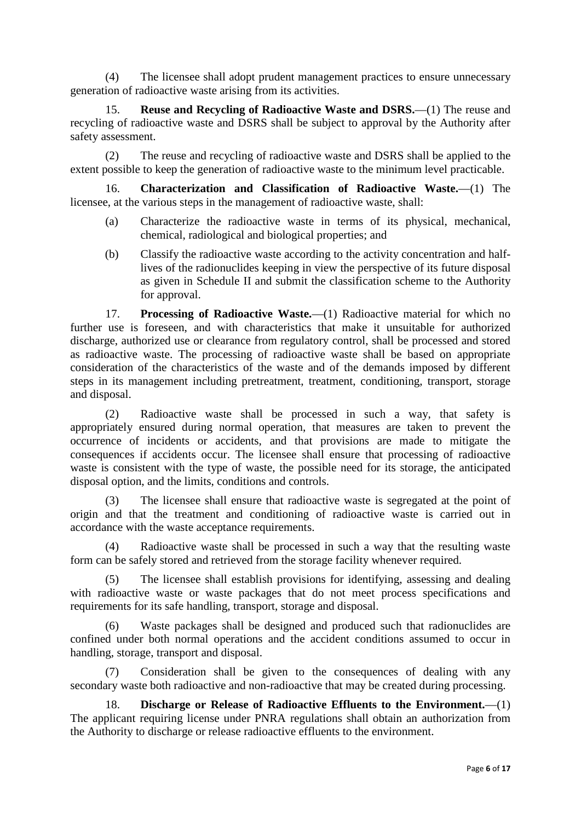(4) The licensee shall adopt prudent management practices to ensure unnecessary generation of radioactive waste arising from its activities.

15. **Reuse and Recycling of Radioactive Waste and DSRS.**—(1) The reuse and recycling of radioactive waste and DSRS shall be subject to approval by the Authority after safety assessment.

(2) The reuse and recycling of radioactive waste and DSRS shall be applied to the extent possible to keep the generation of radioactive waste to the minimum level practicable.

16. **Characterization and Classification of Radioactive Waste.**—(1) The licensee, at the various steps in the management of radioactive waste, shall:

- (a) Characterize the radioactive waste in terms of its physical, mechanical, chemical, radiological and biological properties; and
- (b) Classify the radioactive waste according to the activity concentration and halflives of the radionuclides keeping in view the perspective of its future disposal as given in Schedule II and submit the classification scheme to the Authority for approval.

17. **Processing of Radioactive Waste.**—(1) Radioactive material for which no further use is foreseen, and with characteristics that make it unsuitable for authorized discharge, authorized use or clearance from regulatory control, shall be processed and stored as radioactive waste. The processing of radioactive waste shall be based on appropriate consideration of the characteristics of the waste and of the demands imposed by different steps in its management including pretreatment, treatment, conditioning, transport, storage and disposal.

(2) Radioactive waste shall be processed in such a way, that safety is appropriately ensured during normal operation, that measures are taken to prevent the occurrence of incidents or accidents, and that provisions are made to mitigate the consequences if accidents occur. The licensee shall ensure that processing of radioactive waste is consistent with the type of waste, the possible need for its storage, the anticipated disposal option, and the limits, conditions and controls.

The licensee shall ensure that radioactive waste is segregated at the point of origin and that the treatment and conditioning of radioactive waste is carried out in accordance with the waste acceptance requirements.

(4) Radioactive waste shall be processed in such a way that the resulting waste form can be safely stored and retrieved from the storage facility whenever required.

(5) The licensee shall establish provisions for identifying, assessing and dealing with radioactive waste or waste packages that do not meet process specifications and requirements for its safe handling, transport, storage and disposal.

(6) Waste packages shall be designed and produced such that radionuclides are confined under both normal operations and the accident conditions assumed to occur in handling, storage, transport and disposal.

(7) Consideration shall be given to the consequences of dealing with any secondary waste both radioactive and non-radioactive that may be created during processing.

18. **Discharge or Release of Radioactive Effluents to the Environment.**—(1) The applicant requiring license under PNRA regulations shall obtain an authorization from the Authority to discharge or release radioactive effluents to the environment.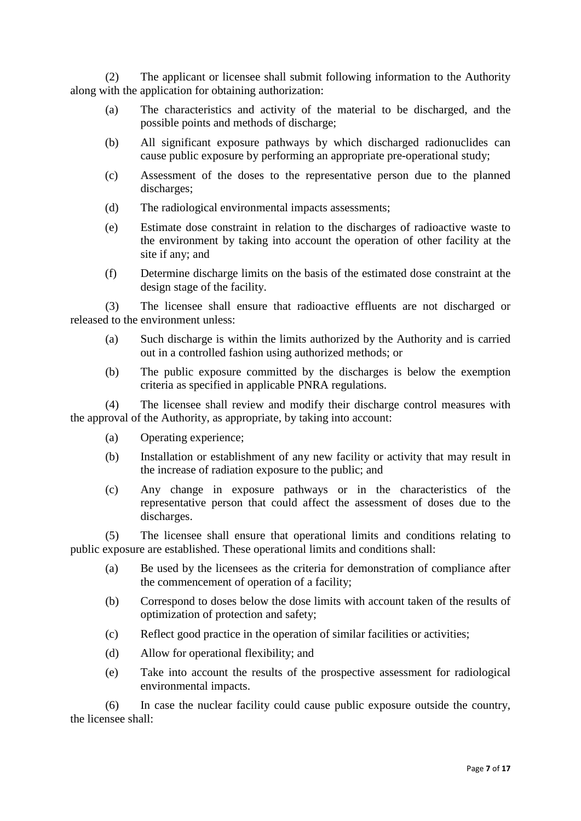(2) The applicant or licensee shall submit following information to the Authority along with the application for obtaining authorization:

- (a) The characteristics and activity of the material to be discharged, and the possible points and methods of discharge;
- (b) All significant exposure pathways by which discharged radionuclides can cause public exposure by performing an appropriate pre-operational study;
- (c) Assessment of the doses to the representative person due to the planned discharges;
- (d) The radiological environmental impacts assessments;
- (e) Estimate dose constraint in relation to the discharges of radioactive waste to the environment by taking into account the operation of other facility at the site if any; and
- (f) Determine discharge limits on the basis of the estimated dose constraint at the design stage of the facility.

(3) The licensee shall ensure that radioactive effluents are not discharged or released to the environment unless:

- (a) Such discharge is within the limits authorized by the Authority and is carried out in a controlled fashion using authorized methods; or
- (b) The public exposure committed by the discharges is below the exemption criteria as specified in applicable PNRA regulations.

(4) The licensee shall review and modify their discharge control measures with the approval of the Authority, as appropriate, by taking into account:

- (a) Operating experience;
- (b) Installation or establishment of any new facility or activity that may result in the increase of radiation exposure to the public; and
- (c) Any change in exposure pathways or in the characteristics of the representative person that could affect the assessment of doses due to the discharges.

(5) The licensee shall ensure that operational limits and conditions relating to public exposure are established. These operational limits and conditions shall:

- (a) Be used by the licensees as the criteria for demonstration of compliance after the commencement of operation of a facility;
- (b) Correspond to doses below the dose limits with account taken of the results of optimization of protection and safety;
- (c) Reflect good practice in the operation of similar facilities or activities;
- (d) Allow for operational flexibility; and
- (e) Take into account the results of the prospective assessment for radiological environmental impacts.

(6) In case the nuclear facility could cause public exposure outside the country, the licensee shall: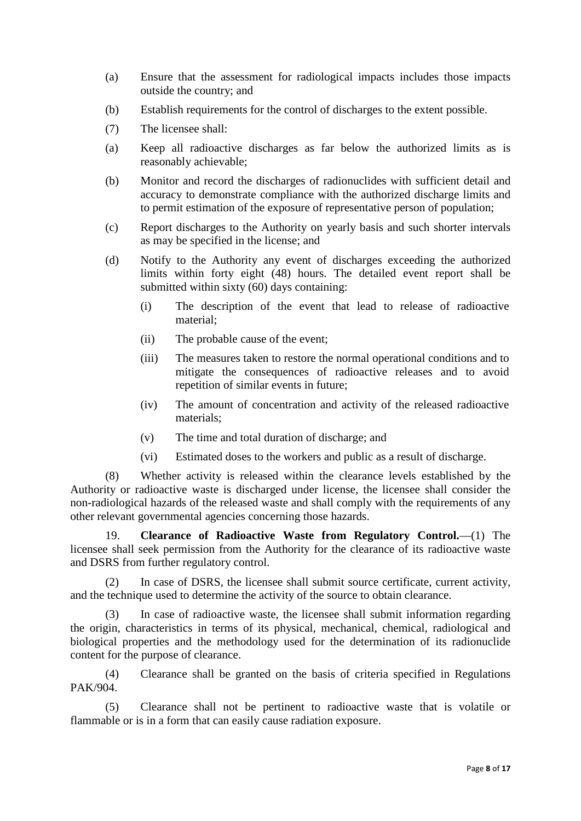- (a) Ensure that the assessment for radiological impacts includes those impacts outside the country; and
- (b) Establish requirements for the control of discharges to the extent possible.
- (7) The licensee shall:
- (a) Keep all radioactive discharges as far below the authorized limits as is reasonably achievable;
- (b) Monitor and record the discharges of radionuclides with sufficient detail and accuracy to demonstrate compliance with the authorized discharge limits and to permit estimation of the exposure of representative person of population;
- (c) Report discharges to the Authority on yearly basis and such shorter intervals as may be specified in the license; and
- (d) Notify to the Authority any event of discharges exceeding the authorized limits within forty eight (48) hours. The detailed event report shall be submitted within sixty (60) days containing:
	- (i) The description of the event that lead to release of radioactive material;
	- (ii) The probable cause of the event;
	- (iii) The measures taken to restore the normal operational conditions and to mitigate the consequences of radioactive releases and to avoid repetition of similar events in future;
	- (iv) The amount of concentration and activity of the released radioactive materials;
	- (v) The time and total duration of discharge; and
	- (vi) Estimated doses to the workers and public as a result of discharge.

(8) Whether activity is released within the clearance levels established by the Authority or radioactive waste is discharged under license, the licensee shall consider the non-radiological hazards of the released waste and shall comply with the requirements of any other relevant governmental agencies concerning those hazards.

19. **Clearance of Radioactive Waste from Regulatory Control.**—(1) The licensee shall seek permission from the Authority for the clearance of its radioactive waste and DSRS from further regulatory control.

(2) In case of DSRS, the licensee shall submit source certificate, current activity, and the technique used to determine the activity of the source to obtain clearance.

(3) In case of radioactive waste, the licensee shall submit information regarding the origin, characteristics in terms of its physical, mechanical, chemical, radiological and biological properties and the methodology used for the determination of its radionuclide content for the purpose of clearance.

(4) Clearance shall be granted on the basis of criteria specified in Regulations PAK/904.

(5) Clearance shall not be pertinent to radioactive waste that is volatile or flammable or is in a form that can easily cause radiation exposure.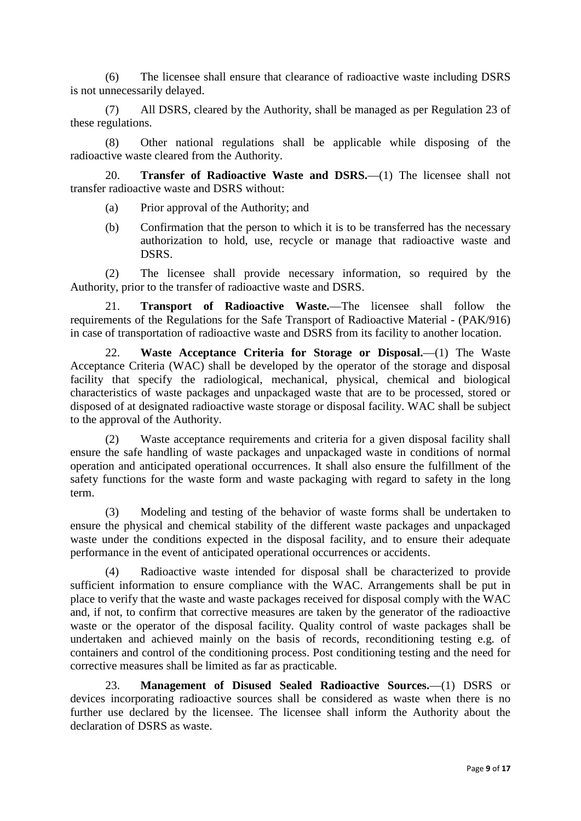(6) The licensee shall ensure that clearance of radioactive waste including DSRS is not unnecessarily delayed.

(7) All DSRS, cleared by the Authority, shall be managed as per Regulation 23 of these regulations.

(8) Other national regulations shall be applicable while disposing of the radioactive waste cleared from the Authority.

20. **Transfer of Radioactive Waste and DSRS.**—(1) The licensee shall not transfer radioactive waste and DSRS without:

- (a) Prior approval of the Authority; and
- (b) Confirmation that the person to which it is to be transferred has the necessary authorization to hold, use, recycle or manage that radioactive waste and DSRS.

(2) The licensee shall provide necessary information, so required by the Authority, prior to the transfer of radioactive waste and DSRS.

21. **Transport of Radioactive Waste.**—The licensee shall follow the requirements of the Regulations for the Safe Transport of Radioactive Material - (PAK/916) in case of transportation of radioactive waste and DSRS from its facility to another location.

22. **Waste Acceptance Criteria for Storage or Disposal.**—(1) The Waste Acceptance Criteria (WAC) shall be developed by the operator of the storage and disposal facility that specify the radiological, mechanical, physical, chemical and biological characteristics of waste packages and unpackaged waste that are to be processed, stored or disposed of at designated radioactive waste storage or disposal facility. WAC shall be subject to the approval of the Authority.

(2) Waste acceptance requirements and criteria for a given disposal facility shall ensure the safe handling of waste packages and unpackaged waste in conditions of normal operation and anticipated operational occurrences. It shall also ensure the fulfillment of the safety functions for the waste form and waste packaging with regard to safety in the long term.

(3) Modeling and testing of the behavior of waste forms shall be undertaken to ensure the physical and chemical stability of the different waste packages and unpackaged waste under the conditions expected in the disposal facility, and to ensure their adequate performance in the event of anticipated operational occurrences or accidents.

(4) Radioactive waste intended for disposal shall be characterized to provide sufficient information to ensure compliance with the WAC. Arrangements shall be put in place to verify that the waste and waste packages received for disposal comply with the WAC and, if not, to confirm that corrective measures are taken by the generator of the radioactive waste or the operator of the disposal facility. Quality control of waste packages shall be undertaken and achieved mainly on the basis of records, reconditioning testing e.g. of containers and control of the conditioning process. Post conditioning testing and the need for corrective measures shall be limited as far as practicable.

23. **Management of Disused Sealed Radioactive Sources.**—(1) DSRS or devices incorporating radioactive sources shall be considered as waste when there is no further use declared by the licensee. The licensee shall inform the Authority about the declaration of DSRS as waste.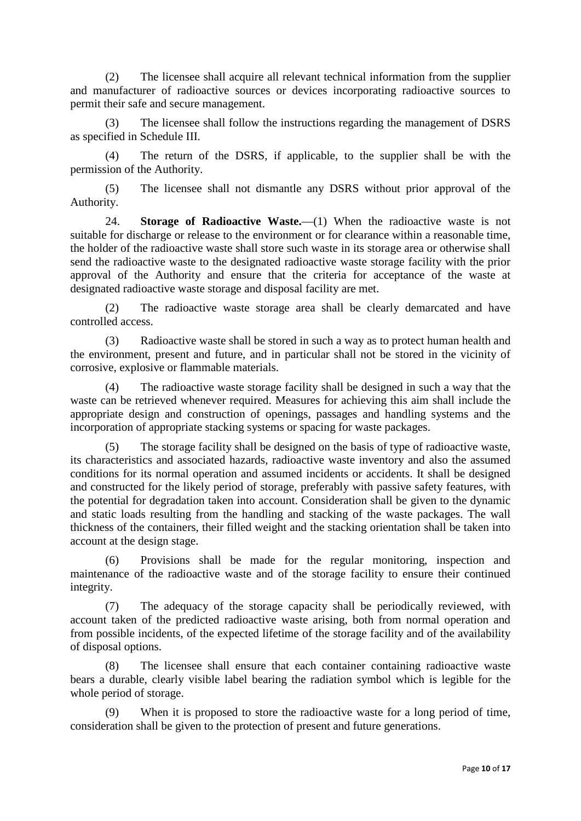(2) The licensee shall acquire all relevant technical information from the supplier and manufacturer of radioactive sources or devices incorporating radioactive sources to permit their safe and secure management.

(3) The licensee shall follow the instructions regarding the management of DSRS as specified in Schedule III.

(4) The return of the DSRS, if applicable, to the supplier shall be with the permission of the Authority.

(5) The licensee shall not dismantle any DSRS without prior approval of the Authority.

24. **Storage of Radioactive Waste.**—(1) When the radioactive waste is not suitable for discharge or release to the environment or for clearance within a reasonable time, the holder of the radioactive waste shall store such waste in its storage area or otherwise shall send the radioactive waste to the designated radioactive waste storage facility with the prior approval of the Authority and ensure that the criteria for acceptance of the waste at designated radioactive waste storage and disposal facility are met.

(2) The radioactive waste storage area shall be clearly demarcated and have controlled access.

(3) Radioactive waste shall be stored in such a way as to protect human health and the environment, present and future, and in particular shall not be stored in the vicinity of corrosive, explosive or flammable materials.

(4) The radioactive waste storage facility shall be designed in such a way that the waste can be retrieved whenever required. Measures for achieving this aim shall include the appropriate design and construction of openings, passages and handling systems and the incorporation of appropriate stacking systems or spacing for waste packages.

(5) The storage facility shall be designed on the basis of type of radioactive waste, its characteristics and associated hazards, radioactive waste inventory and also the assumed conditions for its normal operation and assumed incidents or accidents. It shall be designed and constructed for the likely period of storage, preferably with passive safety features, with the potential for degradation taken into account. Consideration shall be given to the dynamic and static loads resulting from the handling and stacking of the waste packages. The wall thickness of the containers, their filled weight and the stacking orientation shall be taken into account at the design stage.

(6) Provisions shall be made for the regular monitoring, inspection and maintenance of the radioactive waste and of the storage facility to ensure their continued integrity.

(7) The adequacy of the storage capacity shall be periodically reviewed, with account taken of the predicted radioactive waste arising, both from normal operation and from possible incidents, of the expected lifetime of the storage facility and of the availability of disposal options.

(8) The licensee shall ensure that each container containing radioactive waste bears a durable, clearly visible label bearing the radiation symbol which is legible for the whole period of storage.

(9) When it is proposed to store the radioactive waste for a long period of time, consideration shall be given to the protection of present and future generations.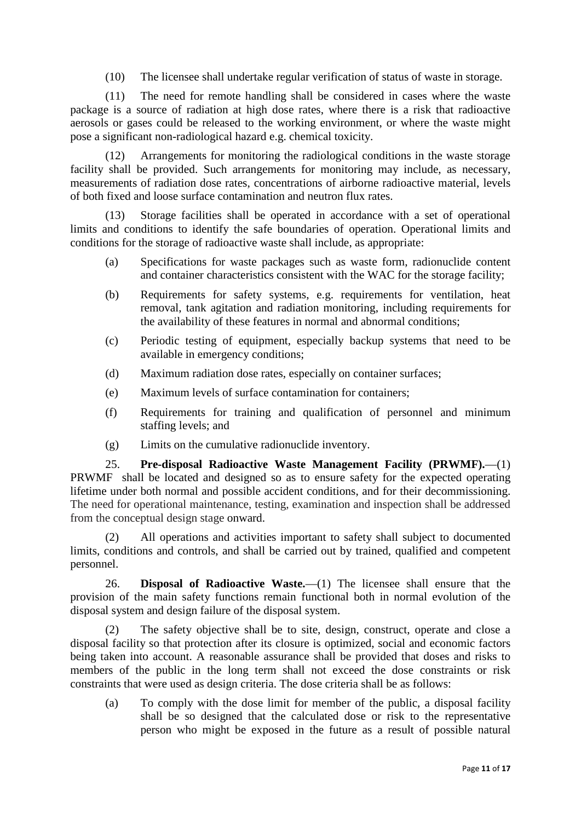(10) The licensee shall undertake regular verification of status of waste in storage.

(11) The need for remote handling shall be considered in cases where the waste package is a source of radiation at high dose rates, where there is a risk that radioactive aerosols or gases could be released to the working environment, or where the waste might pose a significant non-radiological hazard e.g. chemical toxicity.

(12) Arrangements for monitoring the radiological conditions in the waste storage facility shall be provided. Such arrangements for monitoring may include, as necessary, measurements of radiation dose rates, concentrations of airborne radioactive material, levels of both fixed and loose surface contamination and neutron flux rates.

Storage facilities shall be operated in accordance with a set of operational limits and conditions to identify the safe boundaries of operation. Operational limits and conditions for the storage of radioactive waste shall include, as appropriate:

- (a) Specifications for waste packages such as waste form, radionuclide content and container characteristics consistent with the WAC for the storage facility;
- (b) Requirements for safety systems, e.g. requirements for ventilation, heat removal, tank agitation and radiation monitoring, including requirements for the availability of these features in normal and abnormal conditions;
- (c) Periodic testing of equipment, especially backup systems that need to be available in emergency conditions;
- (d) Maximum radiation dose rates, especially on container surfaces;
- (e) Maximum levels of surface contamination for containers;
- (f) Requirements for training and qualification of personnel and minimum staffing levels; and
- (g) Limits on the cumulative radionuclide inventory.

25. **Pre-disposal Radioactive Waste Management Facility (PRWMF).**—(1) PRWMF shall be located and designed so as to ensure safety for the expected operating lifetime under both normal and possible accident conditions, and for their decommissioning. The need for operational maintenance, testing, examination and inspection shall be addressed from the conceptual design stage onward.

(2) All operations and activities important to safety shall subject to documented limits, conditions and controls, and shall be carried out by trained, qualified and competent personnel.

26. **Disposal of Radioactive Waste.**—(1) The licensee shall ensure that the provision of the main safety functions remain functional both in normal evolution of the disposal system and design failure of the disposal system.

The safety objective shall be to site, design, construct, operate and close a disposal facility so that protection after its closure is optimized, social and economic factors being taken into account. A reasonable assurance shall be provided that doses and risks to members of the public in the long term shall not exceed the dose constraints or risk constraints that were used as design criteria. The dose criteria shall be as follows:

(a) To comply with the dose limit for member of the public, a disposal facility shall be so designed that the calculated dose or risk to the representative person who might be exposed in the future as a result of possible natural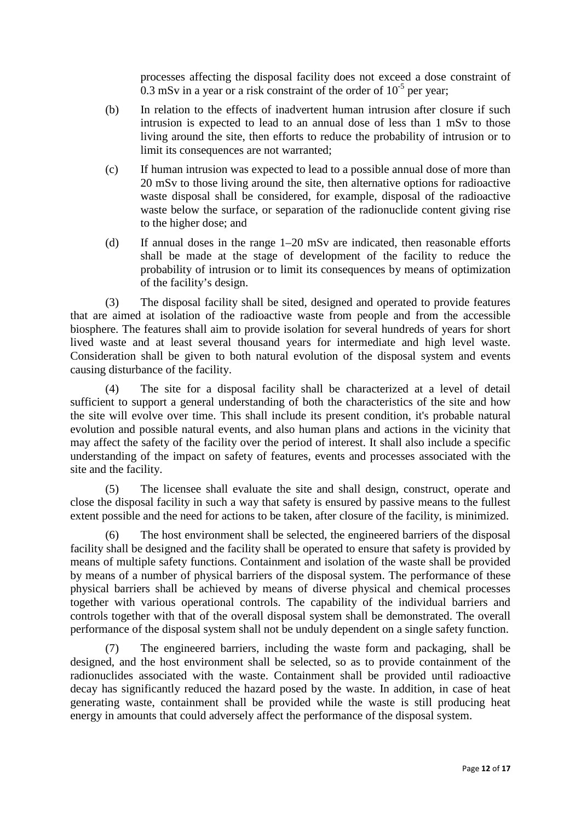processes affecting the disposal facility does not exceed a dose constraint of 0.3 mSv in a year or a risk constraint of the order of  $10^{-5}$  per year;

- (b) In relation to the effects of inadvertent human intrusion after closure if such intrusion is expected to lead to an annual dose of less than 1 mSv to those living around the site, then efforts to reduce the probability of intrusion or to limit its consequences are not warranted;
- (c) If human intrusion was expected to lead to a possible annual dose of more than 20 mSv to those living around the site, then alternative options for radioactive waste disposal shall be considered, for example, disposal of the radioactive waste below the surface, or separation of the radionuclide content giving rise to the higher dose; and
- (d) If annual doses in the range 1–20 mSv are indicated, then reasonable efforts shall be made at the stage of development of the facility to reduce the probability of intrusion or to limit its consequences by means of optimization of the facility's design.

(3) The disposal facility shall be sited, designed and operated to provide features that are aimed at isolation of the radioactive waste from people and from the accessible biosphere. The features shall aim to provide isolation for several hundreds of years for short lived waste and at least several thousand years for intermediate and high level waste. Consideration shall be given to both natural evolution of the disposal system and events causing disturbance of the facility.

(4) The site for a disposal facility shall be characterized at a level of detail sufficient to support a general understanding of both the characteristics of the site and how the site will evolve over time. This shall include its present condition, it's probable natural evolution and possible natural events, and also human plans and actions in the vicinity that may affect the safety of the facility over the period of interest. It shall also include a specific understanding of the impact on safety of features, events and processes associated with the site and the facility.

(5) The licensee shall evaluate the site and shall design, construct, operate and close the disposal facility in such a way that safety is ensured by passive means to the fullest extent possible and the need for actions to be taken, after closure of the facility, is minimized.

(6) The host environment shall be selected, the engineered barriers of the disposal facility shall be designed and the facility shall be operated to ensure that safety is provided by means of multiple safety functions. Containment and isolation of the waste shall be provided by means of a number of physical barriers of the disposal system. The performance of these physical barriers shall be achieved by means of diverse physical and chemical processes together with various operational controls. The capability of the individual barriers and controls together with that of the overall disposal system shall be demonstrated. The overall performance of the disposal system shall not be unduly dependent on a single safety function.

The engineered barriers, including the waste form and packaging, shall be designed, and the host environment shall be selected, so as to provide containment of the radionuclides associated with the waste. Containment shall be provided until radioactive decay has significantly reduced the hazard posed by the waste. In addition, in case of heat generating waste, containment shall be provided while the waste is still producing heat energy in amounts that could adversely affect the performance of the disposal system.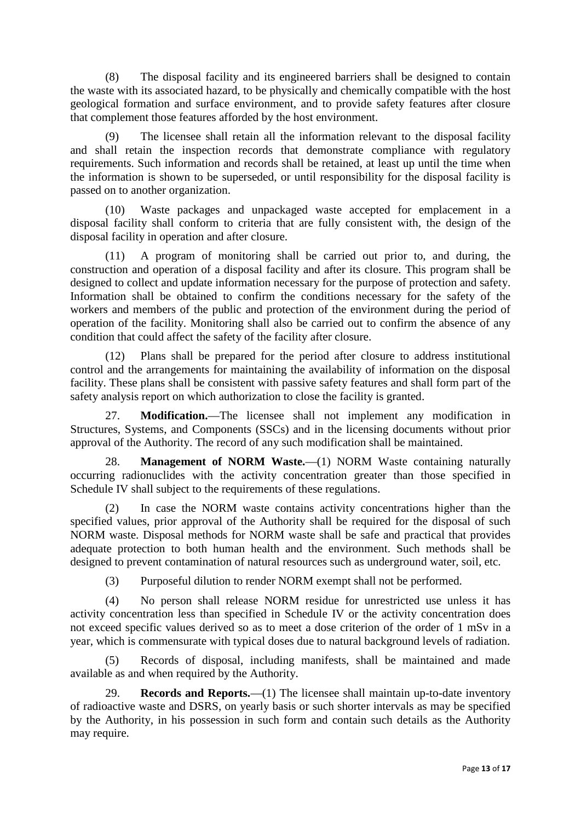(8) The disposal facility and its engineered barriers shall be designed to contain the waste with its associated hazard, to be physically and chemically compatible with the host geological formation and surface environment, and to provide safety features after closure that complement those features afforded by the host environment.

(9) The licensee shall retain all the information relevant to the disposal facility and shall retain the inspection records that demonstrate compliance with regulatory requirements. Such information and records shall be retained, at least up until the time when the information is shown to be superseded, or until responsibility for the disposal facility is passed on to another organization.

(10) Waste packages and unpackaged waste accepted for emplacement in a disposal facility shall conform to criteria that are fully consistent with, the design of the disposal facility in operation and after closure.

(11) A program of monitoring shall be carried out prior to, and during, the construction and operation of a disposal facility and after its closure. This program shall be designed to collect and update information necessary for the purpose of protection and safety. Information shall be obtained to confirm the conditions necessary for the safety of the workers and members of the public and protection of the environment during the period of operation of the facility. Monitoring shall also be carried out to confirm the absence of any condition that could affect the safety of the facility after closure.

(12) Plans shall be prepared for the period after closure to address institutional control and the arrangements for maintaining the availability of information on the disposal facility. These plans shall be consistent with passive safety features and shall form part of the safety analysis report on which authorization to close the facility is granted.

27. **Modification.**—The licensee shall not implement any modification in Structures, Systems, and Components (SSCs) and in the licensing documents without prior approval of the Authority. The record of any such modification shall be maintained.

28. **Management of NORM Waste.**—(1) NORM Waste containing naturally occurring radionuclides with the activity concentration greater than those specified in Schedule IV shall subject to the requirements of these regulations.

(2) In case the NORM waste contains activity concentrations higher than the specified values, prior approval of the Authority shall be required for the disposal of such NORM waste. Disposal methods for NORM waste shall be safe and practical that provides adequate protection to both human health and the environment. Such methods shall be designed to prevent contamination of natural resources such as underground water, soil, etc.

(3) Purposeful dilution to render NORM exempt shall not be performed.

(4) No person shall release NORM residue for unrestricted use unless it has activity concentration less than specified in Schedule IV or the activity concentration does not exceed specific values derived so as to meet a dose criterion of the order of 1 mSv in a year, which is commensurate with typical doses due to natural background levels of radiation.

(5) Records of disposal, including manifests, shall be maintained and made available as and when required by the Authority.

**Records and Reports.**—(1) The licensee shall maintain up-to-date inventory of radioactive waste and DSRS, on yearly basis or such shorter intervals as may be specified by the Authority, in his possession in such form and contain such details as the Authority may require.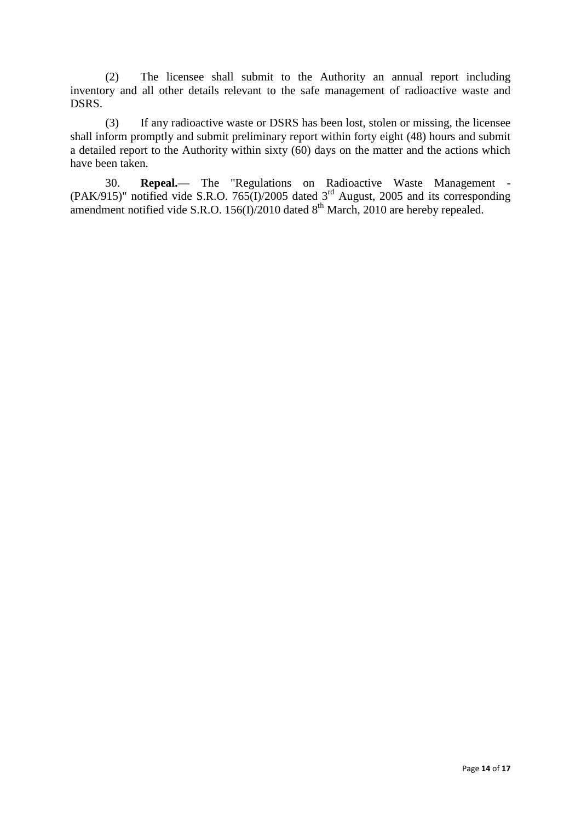(2) The licensee shall submit to the Authority an annual report including inventory and all other details relevant to the safe management of radioactive waste and DSRS.

(3) If any radioactive waste or DSRS has been lost, stolen or missing, the licensee shall inform promptly and submit preliminary report within forty eight (48) hours and submit a detailed report to the Authority within sixty (60) days on the matter and the actions which have been taken.

30. **Repeal.**— The "Regulations on Radioactive Waste Management - (PAK/915)" notified vide S.R.O. 765(I)/2005 dated  $3<sup>rd</sup>$  August, 2005 and its corresponding amendment notified vide S.R.O. 156(I)/2010 dated  $8<sup>th</sup>$  March, 2010 are hereby repealed.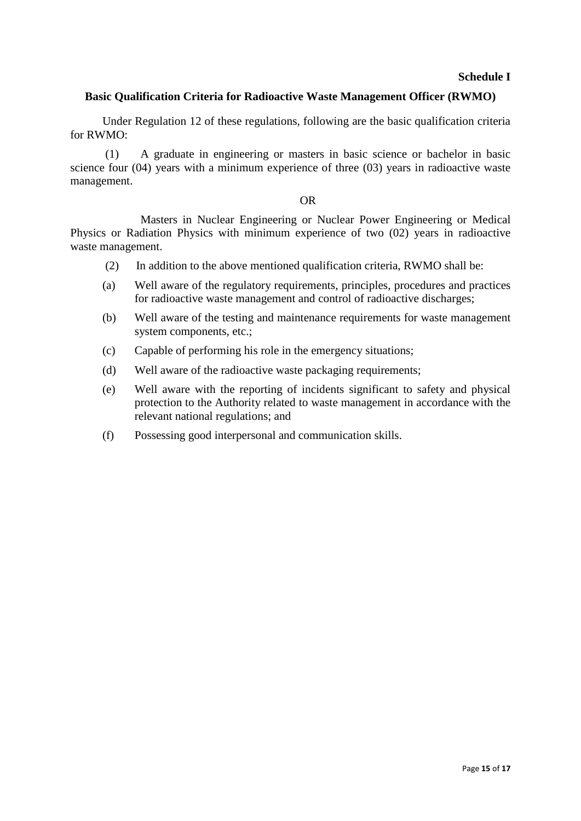## **Schedule I**

## **Basic Qualification Criteria for Radioactive Waste Management Officer (RWMO)**

Under Regulation 12 of these regulations, following are the basic qualification criteria for RWMO:

(1) A graduate in engineering or masters in basic science or bachelor in basic science four (04) years with a minimum experience of three (03) years in radioactive waste management.

#### OR

Masters in Nuclear Engineering or Nuclear Power Engineering or Medical Physics or Radiation Physics with minimum experience of two (02) years in radioactive waste management.

- (2) In addition to the above mentioned qualification criteria, RWMO shall be:
- (a) Well aware of the regulatory requirements, principles, procedures and practices for radioactive waste management and control of radioactive discharges;
- (b) Well aware of the testing and maintenance requirements for waste management system components, etc.;
- (c) Capable of performing his role in the emergency situations;
- (d) Well aware of the radioactive waste packaging requirements;
- (e) Well aware with the reporting of incidents significant to safety and physical protection to the Authority related to waste management in accordance with the relevant national regulations; and
- (f) Possessing good interpersonal and communication skills.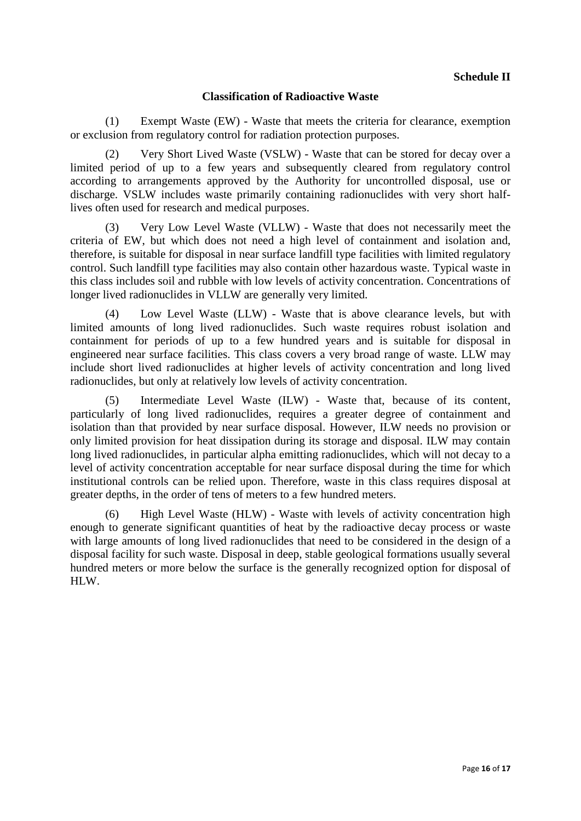# **Classification of Radioactive Waste**

(1) Exempt Waste (EW) - Waste that meets the criteria for clearance, exemption or exclusion from regulatory control for radiation protection purposes.

(2) Very Short Lived Waste (VSLW) - Waste that can be stored for decay over a limited period of up to a few years and subsequently cleared from regulatory control according to arrangements approved by the Authority for uncontrolled disposal, use or discharge. VSLW includes waste primarily containing radionuclides with very short halflives often used for research and medical purposes.

(3) Very Low Level Waste (VLLW) - Waste that does not necessarily meet the criteria of EW, but which does not need a high level of containment and isolation and, therefore, is suitable for disposal in near surface landfill type facilities with limited regulatory control. Such landfill type facilities may also contain other hazardous waste. Typical waste in this class includes soil and rubble with low levels of activity concentration. Concentrations of longer lived radionuclides in VLLW are generally very limited.

(4) Low Level Waste (LLW) - Waste that is above clearance levels, but with limited amounts of long lived radionuclides. Such waste requires robust isolation and containment for periods of up to a few hundred years and is suitable for disposal in engineered near surface facilities. This class covers a very broad range of waste. LLW may include short lived radionuclides at higher levels of activity concentration and long lived radionuclides, but only at relatively low levels of activity concentration.

(5) Intermediate Level Waste (ILW) - Waste that, because of its content, particularly of long lived radionuclides, requires a greater degree of containment and isolation than that provided by near surface disposal. However, ILW needs no provision or only limited provision for heat dissipation during its storage and disposal. ILW may contain long lived radionuclides, in particular alpha emitting radionuclides, which will not decay to a level of activity concentration acceptable for near surface disposal during the time for which institutional controls can be relied upon. Therefore, waste in this class requires disposal at greater depths, in the order of tens of meters to a few hundred meters.

(6) High Level Waste (HLW) - Waste with levels of activity concentration high enough to generate significant quantities of heat by the radioactive decay process or waste with large amounts of long lived radionuclides that need to be considered in the design of a disposal facility for such waste. Disposal in deep, stable geological formations usually several hundred meters or more below the surface is the generally recognized option for disposal of HLW